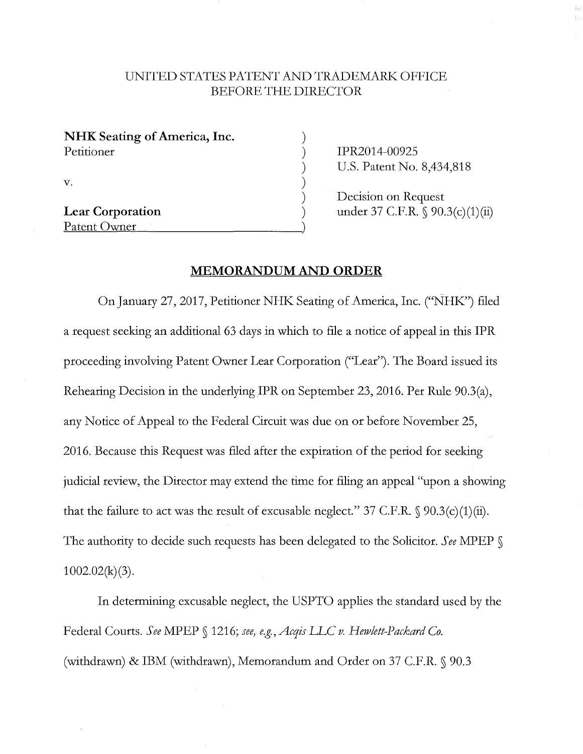## UNITED STATES PATENT AND TRADEMARK OFFICE BEFORE THE DIRECTOR

| NHK Seating of America, Inc. |  |
|------------------------------|--|
| Petitioner                   |  |
|                              |  |
| $\mathbf{V}$ .               |  |
|                              |  |
| <b>Lear Corporation</b>      |  |
| Patent Owner                 |  |
|                              |  |

IPR2014-00925 U.S. Patent No. 8,434,818

Decision on Request under 37 C.F.R. § 90.3(c)(1)(ii)

## **MEMORANDUM AND ORDER**

On January 27, 2017, Petitioner NHK Seating of America, Inc. ("NHK") filed a request seeking an additional 63 days in which to file a notice of appeal in this IPR proceeding involving Patent Owner Lear Corporation ("Lear"). The Board issued its Rehearing Decision in the underlying IPR on September 23, 2016. Per Rule 90.3(a), any Notice of Appeal to the Federal Circuit was due on or before November 25, 2016. Because this Request was filed after the expiration of the period for seeking judicial review, the Director may extend the time for filing an appeal "upon a showing that the failure to act was the result of excusable neglect." 37 C.F.R.  $\S$  90.3(c)(1)(ii). The authority to decide such requests has been delegated to the Solicitor. *See* MPEP §  $1002.02(k)(3)$ .

In determining excusable neglect, the USPTO applies the standard used by the Federal Courts. See MPEP § 1216; see, e.g., Acqis LLC v. Hewlett-Packard Co. (withdrawn) & IBM (withdrawn), Memorandum and Order on 37 C.F.R. § 90.3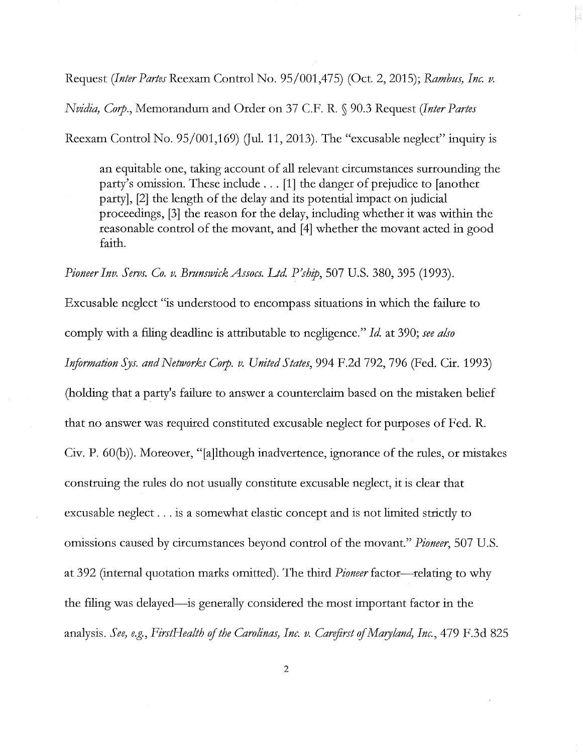Request *(Inter Partes* Reexam Control No. 95/001,475) (Oct. 2, 2015); *Rambus, Inc. v.* 

*Nvidia, Corp.,* Memorandum and Order on 37 C.F. R. § 90.3 Request *(Inter Partes* 

Reexam Control No.  $95/001,169$  (Jul. 11, 2013). The "excusable neglect" inquiry is

an equitable one, taking account of all relevant circumstances surrounding the party's omission. These include ... [1] the danger of prejudice to [another party], [2] the length of the delay and its potential impact on judicial proceedings, [3] the reason for the delay, including whether it was within the reasonable control of the movant, and [4] whether the movant acted in good faith.

*Pioneer Inv. Servs. Co. v. BrunswickAssocs. Ltd P'ship,* 507 U.S. 380,395 (1993).

Excusable neglect "is understood to encompass situations in which the failure to comply with a filing deadline is attributable to negligence." *Id* at 390; *see also Information Sys. and Networks Corp. v. United S fates,* 994 F.2d 792, 796 (Fed. Cir. 1993) (holding that a party's failure to answer a counterclaim based on the mistaken belief that no answer was required constituted excusable neglect for purposes of Fed. R. Civ. P. 60(b)). Moreover, "[a]lthough inadvertence, ignorance of the rules, or mistakes construing the rules do not usually constitute excusable neglect, it is clear that excusable neglect ... is a somewhat elastic concept and is not limited strictly to omissions caused by circumstances beyond control of the movant." *Pioneer,* 507 U.S. at 392 (internal quotation marks omitted). The third *Pioneer* factor—relating to why the filing was delayed-is generally considered the most important factor in the analysis. *See, e.g., FirstHealth of the Carolinas, Inc. v. Carejirst of Maryland, Inc.,* 479 F.3d 825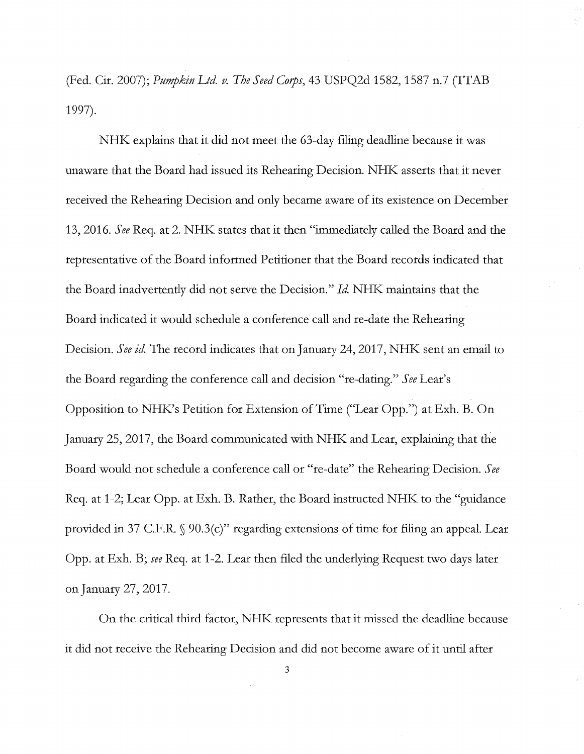(Fed. Cir. 2007); *Pumpkin Ltd. v. The Seed Corps,* 43 USPQ2d 1582, 1587 n.7 (ITAB 1997).

NHK explains that it did not meet the 63-day filing deadline because it was unaware that the Board had issued its Rehearing Decision. NHK asserts that it never received the Rehearing Decision and only became aware of its existence on December 13, 2016. *See* Req. at 2. NHK states that it then "immediately called the Board and the representative of the Board informed Petitioner that the Board records indicated that the Board inadvertently did not serve the Decision." *Id* NHK maintains that the Board indicated it would schedule a conference call and re-date the Rehearing Decision. *See id*. The record indicates that on January 24, 2017, NHK sent an email to the Board regarding the conference call and decision "re-dating." *See* Lear's Opposition to NHK's Petition for Extension of Time ("Lear Opp.") at Exh. B. On January 25, 2017, the Board communicated with NHK and Lear, explaining that the Board would not schedule a conference call or "re-date" the Rehearing Decision. *See*  Req. at 1-2; Lear Opp. at Exh. B. Rather, the Board instructed NHK to the "guidance provided in 37 C.F.R. § 90.3(c)" regarding extensions of time for filing an appeal. Lear Opp. at Exh. B; *see* Req. at 1-2. Lear then filed the underlying Request two days later on January 27, 2017.

On the critical third factor, NHK represents that it missed the deadline because it did not receive the Rehearing Decision and did not become aware of it until after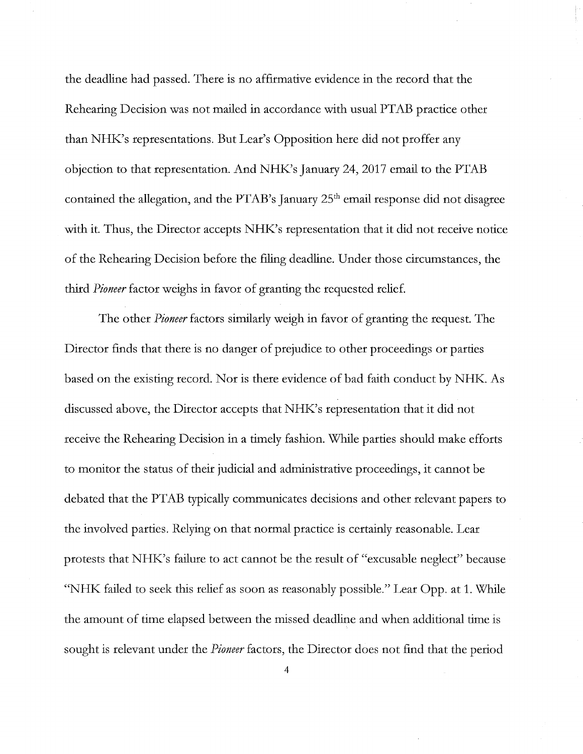the deadline had passed. There is no affirmative evidence in the record that the Rehearing Decision was not mailed in accordance with usual PTAB practice other than NHK's representations. But Lear's Opposition here did not proffer any objection to that representation. And NHK's January 24, 2017 email to the PTAB contained the allegation, and the PTAB's January  $25<sup>th</sup>$  email response did not disagree with it. Thus, the Director accepts NHK's representation that it did not receive notice of the Rehearing Decision before the filing deadline. Under those circumstances, the third *Pioneer* factor weighs in favor of granting the requested relief.

The other *Pioneer* factors similarly weigh in favor of granting the request. The Director finds that there is no danger of prejudice to other proceedings or parties based on the existing record. Nor is there evidence of bad faith conduct by NHK. As discussed above, the Director accepts that NHK's representation that it did not receive the Rehearing Decision in a timely fashion. While parties should make efforts to monitor the status of their judicial and administrative proceedings, it cannot be debated that the PTAB typically communicates decisions and other relevant papers to the involved parties. Relying on that normal practice is certainly reasonable. Lear protests that NHK's failure to act cannot be the result of "excusable neglect" because "NHK failed to seek this relief as soon as reasonably possible." Lear Opp. at 1. While the amount of time elapsed between the missed deadline and when additional time is sought is relevant under the *Pioneer* factors, the Director does not find that the period

4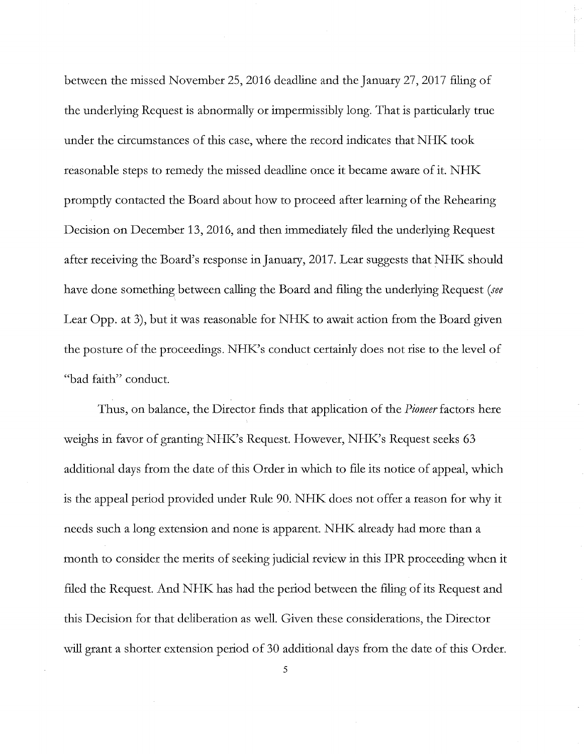between the missed November 25, 2016 deadline and the January 27, 2017 filing of the underlying Request is abnormally or impermissibly long. That is particularly true under the circumstances of this case, where the record indicates that NHK took reasonable steps to remedy the missed deadline once it became aware of it. NHK. promptly contacted the Board about how to proceed after learning of the Rehearing Decision on December 13, 2016, and then immediately filed the underlying Request after receiving the Board's response in January, 2017. Lear suggests that NHK should have done something between calling the Board and filing the underlying Request *(see*  Lear Opp. at 3), but it was reasonable for NHK to await action from the Board given the posture of the proceedings. NHK's conduct certainly does not rise to the level of "bad faith" conduct.

Thus, on balance, the Director finds that application of the *Pioneer* factors here weighs in favor of granting NHK's Request. However, NHK's Request seeks 63 additional days from the date of this Order in which to file its notice of appeal, which is the appeal period provided under Rule 90. NHK does not offer a reason for why it needs such a long extension and none is apparent. NHK already had more than a month to consider the merits of seeking judicial review in this IPR proceeding when it filed the Request. And NHK has had the period between the filing of its Request and this Decision for that deliberation as well. Given these considerations, the Director will grant a shorter extension period of 30 additional days from the date of this Order.

5